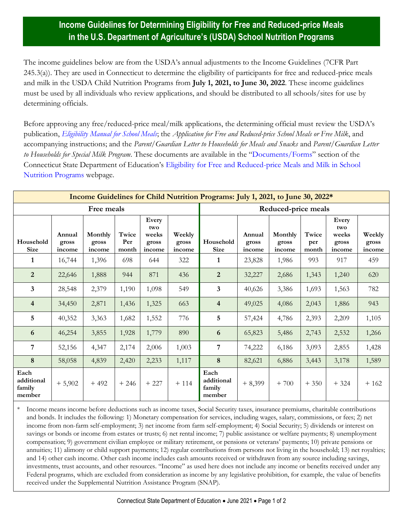## **Income Guidelines for Determining Eligibility for Free and Reduced-price Meals in the U.S. Department of Agriculture's (USDA) School Nutrition Programs**

The income guidelines below are from the USDA's annual adjustments to the Income Guidelines (7CFR Part 245.3(a)). They are used in Connecticut to determine the eligibility of participants for free and reduced-price meals and milk in the USDA Child Nutrition Programs from **July 1, 2021, to June 30, 2022**. These income guidelines must be used by all individuals who review applications, and should be distributed to all schools/sites for use by determining officials.

Before approving any free/reduced-price meal/milk applications, the determining official must review the USDA's publication, *[Eligibility Manual for School Meals](https://portal.ct.gov/-/media/SDE/Nutrition/NSLP/Forms/FreeRed/USDA_eligibility_manual.pdf)*; the *Application for Free and Reduced-price School Meals or Free Milk*, and accompanying instructions; and the *Parent/Guardian Letter to Households for Meals and Snacks* and *Parent/Guardian Letter to Households for Special Milk Program*. These documents are available in the "[Documents/Forms](https://portal.ct.gov/SDE/Nutrition/Eligibility-for-Free-and-Reduced-price-Meals-and-Milk-in-School-Nutrition-Programs/Documents)" section of the Connecticut State Department of Education's [Eligibility for Free and Reduced-price Meals and Milk in School](https://portal.ct.gov/SDE/Nutrition/Eligibility-for-Free-and-Reduced-price-Meals-and-Milk-in-School-Nutrition-Programs)  [Nutrition Programs](https://portal.ct.gov/SDE/Nutrition/Eligibility-for-Free-and-Reduced-price-Meals-and-Milk-in-School-Nutrition-Programs) webpage.

| Income Guidelines for Child Nutrition Programs: July 1, 2021, to June 30, 2022* |                           |                            |                       |                                          |                           |                                        |                           |                            |                       |                                          |                           |
|---------------------------------------------------------------------------------|---------------------------|----------------------------|-----------------------|------------------------------------------|---------------------------|----------------------------------------|---------------------------|----------------------------|-----------------------|------------------------------------------|---------------------------|
| Free meals                                                                      |                           |                            |                       |                                          |                           | Reduced-price meals                    |                           |                            |                       |                                          |                           |
| Household<br><b>Size</b>                                                        | Annual<br>gross<br>income | Monthly<br>gross<br>income | Twice<br>Per<br>month | Every<br>two<br>weeks<br>gross<br>income | Weekly<br>gross<br>income | Household<br><b>Size</b>               | Annual<br>gross<br>income | Monthly<br>gross<br>income | Twice<br>per<br>month | Every<br>two<br>weeks<br>gross<br>income | Weekly<br>gross<br>income |
| 1                                                                               | 16,744                    | 1,396                      | 698                   | 644                                      | 322                       | 1                                      | 23,828                    | 1,986                      | 993                   | 917                                      | 459                       |
| $\overline{2}$                                                                  | 22,646                    | 1,888                      | 944                   | 871                                      | 436                       | $\overline{2}$                         | 32,227                    | 2,686                      | 1,343                 | 1,240                                    | 620                       |
| $\mathbf{3}$                                                                    | 28,548                    | 2,379                      | 1,190                 | 1,098                                    | 549                       | $\overline{3}$                         | 40,626                    | 3,386                      | 1,693                 | 1,563                                    | 782                       |
| $\overline{4}$                                                                  | 34,450                    | 2,871                      | 1,436                 | 1,325                                    | 663                       | $\overline{4}$                         | 49,025                    | 4,086                      | 2,043                 | 1,886                                    | 943                       |
| 5                                                                               | 40,352                    | 3,363                      | 1,682                 | 1,552                                    | 776                       | $5\overline{)}$                        | 57,424                    | 4,786                      | 2,393                 | 2,209                                    | 1,105                     |
| 6                                                                               | 46,254                    | 3,855                      | 1,928                 | 1,779                                    | 890                       | 6                                      | 65,823                    | 5,486                      | 2,743                 | 2,532                                    | 1,266                     |
| $\overline{7}$                                                                  | 52,156                    | 4,347                      | 2,174                 | 2,006                                    | 1,003                     | $\overline{7}$                         | 74,222                    | 6,186                      | 3,093                 | 2,855                                    | 1,428                     |
| 8                                                                               | 58,058                    | 4,839                      | 2,420                 | 2,233                                    | 1,117                     | 8                                      | 82,621                    | 6,886                      | 3,443                 | 3,178                                    | 1,589                     |
| Each<br>additional<br>family<br>member                                          | $+5,902$                  | $+492$                     | $+246$                | $+227$                                   | $+114$                    | Each<br>additional<br>family<br>member | $+8,399$                  | $+700$                     | $+350$                | $+324$                                   | $+162$                    |

Income means income before deductions such as income taxes, Social Security taxes, insurance premiums, charitable contributions and bonds. It includes the following: 1) Monetary compensation for services, including wages, salary, commissions, or fees; 2) net income from non-farm self-employment; 3) net income from farm self-employment; 4) Social Security; 5) dividends or interest on savings or bonds or income from estates or trusts; 6) net rental income; 7) public assistance or welfare payments; 8) unemployment compensation; 9) government civilian employee or military retirement, or pensions or veterans' payments; 10) private pensions or annuities; 11) alimony or child support payments; 12) regular contributions from persons not living in the household; 13) net royalties; and 14) other cash income. Other cash income includes cash amounts received or withdrawn from any source including savings, investments, trust accounts, and other resources. "Income" as used here does not include any income or benefits received under any Federal programs, which are excluded from consideration as income by any legislative prohibition, for example, the value of benefits received under the Supplemental Nutrition Assistance Program (SNAP).